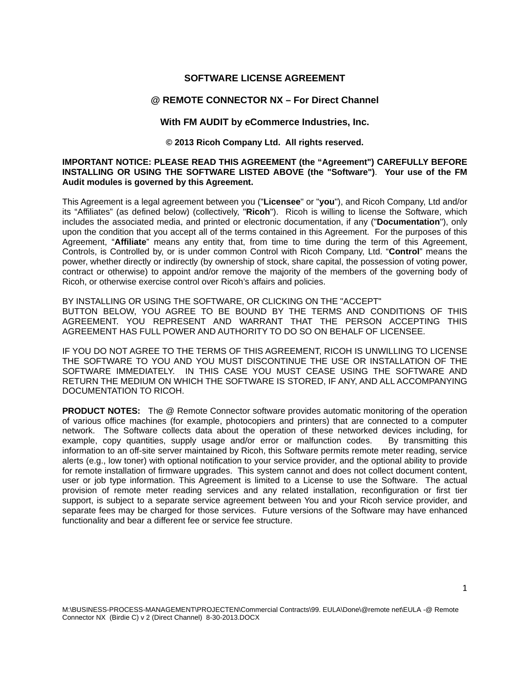### **SOFTWARE LICENSE AGREEMENT**

#### **@ REMOTE CONNECTOR NX – For Direct Channel**

#### **With FM AUDIT by eCommerce Industries, Inc.**

#### **© 2013 Ricoh Company Ltd. All rights reserved.**

#### **IMPORTANT NOTICE: PLEASE READ THIS AGREEMENT (the "Agreement") CAREFULLY BEFORE INSTALLING OR USING THE SOFTWARE LISTED ABOVE (the "Software")**. **Your use of the FM Audit modules is governed by this Agreement.**

This Agreement is a legal agreement between you ("**Licensee**" or "**you**"), and Ricoh Company, Ltd and/or its "Affiliates" (as defined below) (collectively, "**Ricoh**"). Ricoh is willing to license the Software, which includes the associated media, and printed or electronic documentation, if any ("**Documentation**"), only upon the condition that you accept all of the terms contained in this Agreement. For the purposes of this Agreement, "**Affiliate**" means any entity that, from time to time during the term of this Agreement, Controls, is Controlled by, or is under common Control with Ricoh Company, Ltd. "**Control**" means the power, whether directly or indirectly (by ownership of stock, share capital, the possession of voting power, contract or otherwise) to appoint and/or remove the majority of the members of the governing body of Ricoh, or otherwise exercise control over Ricoh's affairs and policies.

#### BY INSTALLING OR USING THE SOFTWARE, OR CLICKING ON THE "ACCEPT" BUTTON BELOW, YOU AGREE TO BE BOUND BY THE TERMS AND CONDITIONS OF THIS AGREEMENT. YOU REPRESENT AND WARRANT THAT THE PERSON ACCEPTING THIS AGREEMENT HAS FULL POWER AND AUTHORITY TO DO SO ON BEHALF OF LICENSEE.

IF YOU DO NOT AGREE TO THE TERMS OF THIS AGREEMENT, RICOH IS UNWILLING TO LICENSE THE SOFTWARE TO YOU AND YOU MUST DISCONTINUE THE USE OR INSTALLATION OF THE SOFTWARE IMMEDIATELY. IN THIS CASE YOU MUST CEASE USING THE SOFTWARE AND RETURN THE MEDIUM ON WHICH THE SOFTWARE IS STORED, IF ANY, AND ALL ACCOMPANYING DOCUMENTATION TO RICOH.

**PRODUCT NOTES:** The @ Remote Connector software provides automatic monitoring of the operation of various office machines (for example, photocopiers and printers) that are connected to a computer network. The Software collects data about the operation of these networked devices including, for example, copy quantities, supply usage and/or error or malfunction codes. By transmitting this information to an off-site server maintained by Ricoh, this Software permits remote meter reading, service alerts (e.g., low toner) with optional notification to your service provider, and the optional ability to provide for remote installation of firmware upgrades. This system cannot and does not collect document content, user or job type information. This Agreement is limited to a License to use the Software. The actual provision of remote meter reading services and any related installation, reconfiguration or first tier support, is subject to a separate service agreement between You and your Ricoh service provider, and separate fees may be charged for those services. Future versions of the Software may have enhanced functionality and bear a different fee or service fee structure.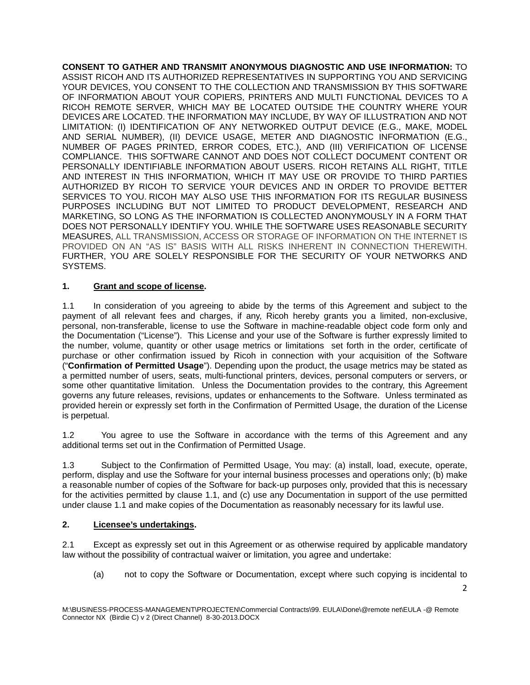**CONSENT TO GATHER AND TRANSMIT ANONYMOUS DIAGNOSTIC AND USE INFORMATION:** TO ASSIST RICOH AND ITS AUTHORIZED REPRESENTATIVES IN SUPPORTING YOU AND SERVICING YOUR DEVICES, YOU CONSENT TO THE COLLECTION AND TRANSMISSION BY THIS SOFTWARE OF INFORMATION ABOUT YOUR COPIERS, PRINTERS AND MULTI FUNCTIONAL DEVICES TO A RICOH REMOTE SERVER, WHICH MAY BE LOCATED OUTSIDE THE COUNTRY WHERE YOUR DEVICES ARE LOCATED. THE INFORMATION MAY INCLUDE, BY WAY OF ILLUSTRATION AND NOT LIMITATION: (I) IDENTIFICATION OF ANY NETWORKED OUTPUT DEVICE (E.G., MAKE, MODEL AND SERIAL NUMBER), (II) DEVICE USAGE, METER AND DIAGNOSTIC INFORMATION (E.G., NUMBER OF PAGES PRINTED, ERROR CODES, ETC.), AND (III) VERIFICATION OF LICENSE COMPLIANCE. THIS SOFTWARE CANNOT AND DOES NOT COLLECT DOCUMENT CONTENT OR PERSONALLY IDENTIFIABLE INFORMATION ABOUT USERS. RICOH RETAINS ALL RIGHT, TITLE AND INTEREST IN THIS INFORMATION, WHICH IT MAY USE OR PROVIDE TO THIRD PARTIES AUTHORIZED BY RICOH TO SERVICE YOUR DEVICES AND IN ORDER TO PROVIDE BETTER SERVICES TO YOU. RICOH MAY ALSO USE THIS INFORMATION FOR ITS REGULAR BUSINESS PURPOSES INCLUDING BUT NOT LIMITED TO PRODUCT DEVELOPMENT, RESEARCH AND MARKETING, SO LONG AS THE INFORMATION IS COLLECTED ANONYMOUSLY IN A FORM THAT DOES NOT PERSONALLY IDENTIFY YOU. WHILE THE SOFTWARE USES REASONABLE SECURITY MEASURES, ALL TRANSMISSION, ACCESS OR STORAGE OF INFORMATION ON THE INTERNET IS PROVIDED ON AN "AS IS" BASIS WITH ALL RISKS INHERENT IN CONNECTION THEREWITH. FURTHER, YOU ARE SOLELY RESPONSIBLE FOR THE SECURITY OF YOUR NETWORKS AND SYSTEMS.

# **1. Grant and scope of license.**

1.1 In consideration of you agreeing to abide by the terms of this Agreement and subject to the payment of all relevant fees and charges, if any, Ricoh hereby grants you a limited, non-exclusive, personal, non-transferable, license to use the Software in machine-readable object code form only and the Documentation ("License"). This License and your use of the Software is further expressly limited to the number, volume, quantity or other usage metrics or limitations set forth in the order, certificate of purchase or other confirmation issued by Ricoh in connection with your acquisition of the Software ("**Confirmation of Permitted Usage**"). Depending upon the product, the usage metrics may be stated as a permitted number of users, seats, multi-functional printers, devices, personal computers or servers, or some other quantitative limitation. Unless the Documentation provides to the contrary, this Agreement governs any future releases, revisions, updates or enhancements to the Software. Unless terminated as provided herein or expressly set forth in the Confirmation of Permitted Usage, the duration of the License is perpetual.

1.2 You agree to use the Software in accordance with the terms of this Agreement and any additional terms set out in the Confirmation of Permitted Usage.

1.3 Subject to the Confirmation of Permitted Usage, You may: (a) install, load, execute, operate, perform, display and use the Software for your internal business processes and operations only; (b) make a reasonable number of copies of the Software for back-up purposes only, provided that this is necessary for the activities permitted by clause 1.1, and (c) use any Documentation in support of the use permitted under clause 1.1 and make copies of the Documentation as reasonably necessary for its lawful use.

### **2. Licensee's undertakings.**

2.1 Except as expressly set out in this Agreement or as otherwise required by applicable mandatory law without the possibility of contractual waiver or limitation, you agree and undertake:

(a) not to copy the Software or Documentation, except where such copying is incidental to

2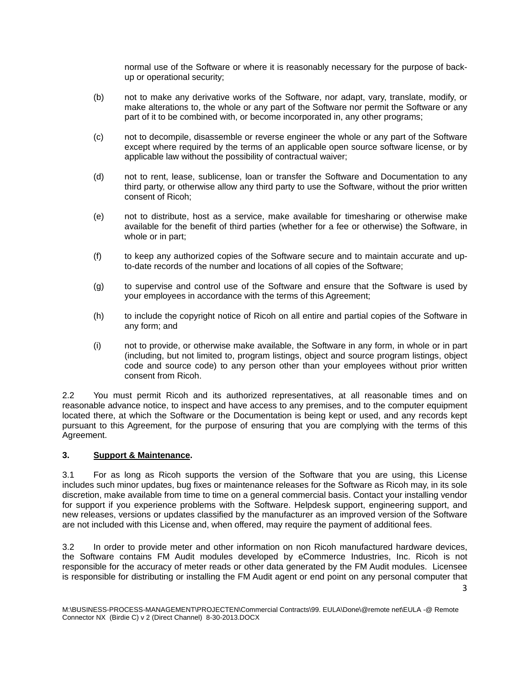normal use of the Software or where it is reasonably necessary for the purpose of backup or operational security;

- (b) not to make any derivative works of the Software, nor adapt, vary, translate, modify, or make alterations to, the whole or any part of the Software nor permit the Software or any part of it to be combined with, or become incorporated in, any other programs;
- (c) not to decompile, disassemble or reverse engineer the whole or any part of the Software except where required by the terms of an applicable open source software license, or by applicable law without the possibility of contractual waiver;
- (d) not to rent, lease, sublicense, loan or transfer the Software and Documentation to any third party, or otherwise allow any third party to use the Software, without the prior written consent of Ricoh;
- (e) not to distribute, host as a service, make available for timesharing or otherwise make available for the benefit of third parties (whether for a fee or otherwise) the Software, in whole or in part;
- (f) to keep any authorized copies of the Software secure and to maintain accurate and upto-date records of the number and locations of all copies of the Software;
- (g) to supervise and control use of the Software and ensure that the Software is used by your employees in accordance with the terms of this Agreement;
- (h) to include the copyright notice of Ricoh on all entire and partial copies of the Software in any form; and
- (i) not to provide, or otherwise make available, the Software in any form, in whole or in part (including, but not limited to, program listings, object and source program listings, object code and source code) to any person other than your employees without prior written consent from Ricoh.

2.2 You must permit Ricoh and its authorized representatives, at all reasonable times and on reasonable advance notice, to inspect and have access to any premises, and to the computer equipment located there, at which the Software or the Documentation is being kept or used, and any records kept pursuant to this Agreement, for the purpose of ensuring that you are complying with the terms of this Agreement.

### **3. Support & Maintenance.**

3.1 For as long as Ricoh supports the version of the Software that you are using, this License includes such minor updates, bug fixes or maintenance releases for the Software as Ricoh may, in its sole discretion, make available from time to time on a general commercial basis. Contact your installing vendor for support if you experience problems with the Software. Helpdesk support, engineering support, and new releases, versions or updates classified by the manufacturer as an improved version of the Software are not included with this License and, when offered, may require the payment of additional fees.

3.2 In order to provide meter and other information on non Ricoh manufactured hardware devices, the Software contains FM Audit modules developed by eCommerce Industries, Inc. Ricoh is not responsible for the accuracy of meter reads or other data generated by the FM Audit modules. Licensee is responsible for distributing or installing the FM Audit agent or end point on any personal computer that

3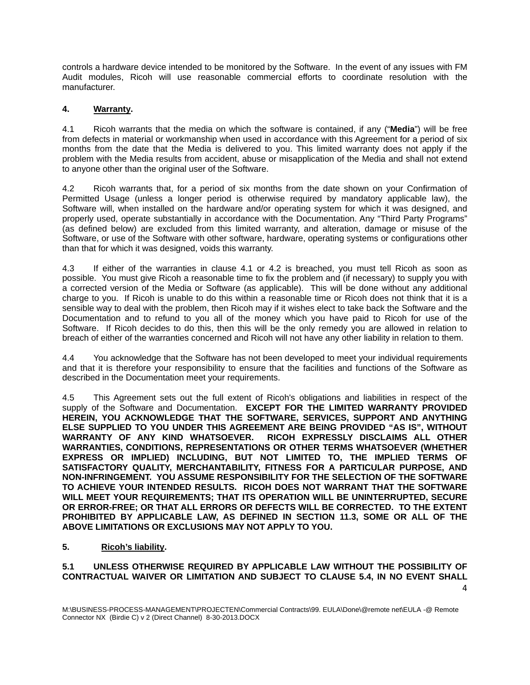controls a hardware device intended to be monitored by the Software. In the event of any issues with FM Audit modules, Ricoh will use reasonable commercial efforts to coordinate resolution with the manufacturer.

### **4. Warranty.**

4.1 Ricoh warrants that the media on which the software is contained, if any ("**Media**") will be free from defects in material or workmanship when used in accordance with this Agreement for a period of six months from the date that the Media is delivered to you. This limited warranty does not apply if the problem with the Media results from accident, abuse or misapplication of the Media and shall not extend to anyone other than the original user of the Software.

4.2 Ricoh warrants that, for a period of six months from the date shown on your Confirmation of Permitted Usage (unless a longer period is otherwise required by mandatory applicable law), the Software will, when installed on the hardware and/or operating system for which it was designed, and properly used, operate substantially in accordance with the Documentation. Any "Third Party Programs" (as defined below) are excluded from this limited warranty, and alteration, damage or misuse of the Software, or use of the Software with other software, hardware, operating systems or configurations other than that for which it was designed, voids this warranty.

4.3 If either of the warranties in clause 4.1 or 4.2 is breached, you must tell Ricoh as soon as possible. You must give Ricoh a reasonable time to fix the problem and (if necessary) to supply you with a corrected version of the Media or Software (as applicable). This will be done without any additional charge to you. If Ricoh is unable to do this within a reasonable time or Ricoh does not think that it is a sensible way to deal with the problem, then Ricoh may if it wishes elect to take back the Software and the Documentation and to refund to you all of the money which you have paid to Ricoh for use of the Software. If Ricoh decides to do this, then this will be the only remedy you are allowed in relation to breach of either of the warranties concerned and Ricoh will not have any other liability in relation to them.

4.4 You acknowledge that the Software has not been developed to meet your individual requirements and that it is therefore your responsibility to ensure that the facilities and functions of the Software as described in the Documentation meet your requirements.

4.5 This Agreement sets out the full extent of Ricoh's obligations and liabilities in respect of the supply of the Software and Documentation. **EXCEPT FOR THE LIMITED WARRANTY PROVIDED HEREIN, YOU ACKNOWLEDGE THAT THE SOFTWARE, SERVICES, SUPPORT AND ANYTHING ELSE SUPPLIED TO YOU UNDER THIS AGREEMENT ARE BEING PROVIDED "AS IS", WITHOUT WARRANTY OF ANY KIND WHATSOEVER. RICOH EXPRESSLY DISCLAIMS ALL OTHER WARRANTIES, CONDITIONS, REPRESENTATIONS OR OTHER TERMS WHATSOEVER (WHETHER EXPRESS OR IMPLIED) INCLUDING, BUT NOT LIMITED TO, THE IMPLIED TERMS OF SATISFACTORY QUALITY, MERCHANTABILITY, FITNESS FOR A PARTICULAR PURPOSE, AND NON-INFRINGEMENT. YOU ASSUME RESPONSIBILITY FOR THE SELECTION OF THE SOFTWARE TO ACHIEVE YOUR INTENDED RESULTS. RICOH DOES NOT WARRANT THAT THE SOFTWARE WILL MEET YOUR REQUIREMENTS; THAT ITS OPERATION WILL BE UNINTERRUPTED, SECURE OR ERROR-FREE; OR THAT ALL ERRORS OR DEFECTS WILL BE CORRECTED. TO THE EXTENT PROHIBITED BY APPLICABLE LAW, AS DEFINED IN SECTION 11.3, SOME OR ALL OF THE ABOVE LIMITATIONS OR EXCLUSIONS MAY NOT APPLY TO YOU.** 

### **5. Ricoh's liability.**

# **5.1 UNLESS OTHERWISE REQUIRED BY APPLICABLE LAW WITHOUT THE POSSIBILITY OF CONTRACTUAL WAIVER OR LIMITATION AND SUBJECT TO CLAUSE 5.4, IN NO EVENT SHALL**

4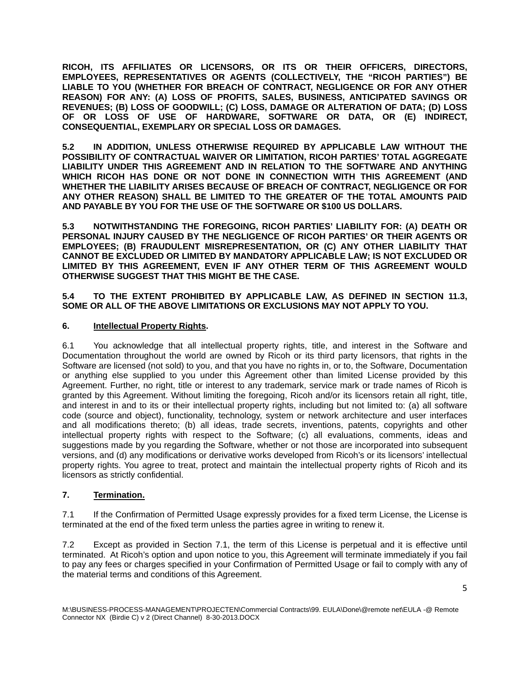**RICOH, ITS AFFILIATES OR LICENSORS, OR ITS OR THEIR OFFICERS, DIRECTORS, EMPLOYEES, REPRESENTATIVES OR AGENTS (COLLECTIVELY, THE "RICOH PARTIES") BE LIABLE TO YOU (WHETHER FOR BREACH OF CONTRACT, NEGLIGENCE OR FOR ANY OTHER REASON) FOR ANY: (A) LOSS OF PROFITS, SALES, BUSINESS, ANTICIPATED SAVINGS OR REVENUES; (B) LOSS OF GOODWILL; (C) LOSS, DAMAGE OR ALTERATION OF DATA; (D) LOSS OF OR LOSS OF USE OF HARDWARE, SOFTWARE OR DATA, OR (E) INDIRECT, CONSEQUENTIAL, EXEMPLARY OR SPECIAL LOSS OR DAMAGES.**

**5.2 IN ADDITION, UNLESS OTHERWISE REQUIRED BY APPLICABLE LAW WITHOUT THE POSSIBILITY OF CONTRACTUAL WAIVER OR LIMITATION, RICOH PARTIES' TOTAL AGGREGATE LIABILITY UNDER THIS AGREEMENT AND IN RELATION TO THE SOFTWARE AND ANYTHING WHICH RICOH HAS DONE OR NOT DONE IN CONNECTION WITH THIS AGREEMENT (AND WHETHER THE LIABILITY ARISES BECAUSE OF BREACH OF CONTRACT, NEGLIGENCE OR FOR ANY OTHER REASON) SHALL BE LIMITED TO THE GREATER OF THE TOTAL AMOUNTS PAID AND PAYABLE BY YOU FOR THE USE OF THE SOFTWARE OR \$100 US DOLLARS.**

**5.3 NOTWITHSTANDING THE FOREGOING, RICOH PARTIES' LIABILITY FOR: (A) DEATH OR PERSONAL INJURY CAUSED BY THE NEGLIGENCE OF RICOH PARTIES' OR THEIR AGENTS OR EMPLOYEES; (B) FRAUDULENT MISREPRESENTATION, OR (C) ANY OTHER LIABILITY THAT CANNOT BE EXCLUDED OR LIMITED BY MANDATORY APPLICABLE LAW; IS NOT EXCLUDED OR LIMITED BY THIS AGREEMENT, EVEN IF ANY OTHER TERM OF THIS AGREEMENT WOULD OTHERWISE SUGGEST THAT THIS MIGHT BE THE CASE.**

### **5.4 TO THE EXTENT PROHIBITED BY APPLICABLE LAW, AS DEFINED IN SECTION 11.3, SOME OR ALL OF THE ABOVE LIMITATIONS OR EXCLUSIONS MAY NOT APPLY TO YOU.**

# **6. Intellectual Property Rights.**

6.1 You acknowledge that all intellectual property rights, title, and interest in the Software and Documentation throughout the world are owned by Ricoh or its third party licensors, that rights in the Software are licensed (not sold) to you, and that you have no rights in, or to, the Software, Documentation or anything else supplied to you under this Agreement other than limited License provided by this Agreement. Further, no right, title or interest to any trademark, service mark or trade names of Ricoh is granted by this Agreement. Without limiting the foregoing, Ricoh and/or its licensors retain all right, title, and interest in and to its or their intellectual property rights, including but not limited to: (a) all software code (source and object), functionality, technology, system or network architecture and user interfaces and all modifications thereto; (b) all ideas, trade secrets, inventions, patents, copyrights and other intellectual property rights with respect to the Software; (c) all evaluations, comments, ideas and suggestions made by you regarding the Software, whether or not those are incorporated into subsequent versions, and (d) any modifications or derivative works developed from Ricoh's or its licensors' intellectual property rights. You agree to treat, protect and maintain the intellectual property rights of Ricoh and its licensors as strictly confidential.

# **7. Termination.**

7.1 If the Confirmation of Permitted Usage expressly provides for a fixed term License, the License is terminated at the end of the fixed term unless the parties agree in writing to renew it.

7.2 Except as provided in Section 7.1, the term of this License is perpetual and it is effective until terminated. At Ricoh's option and upon notice to you, this Agreement will terminate immediately if you fail to pay any fees or charges specified in your Confirmation of Permitted Usage or fail to comply with any of the material terms and conditions of this Agreement.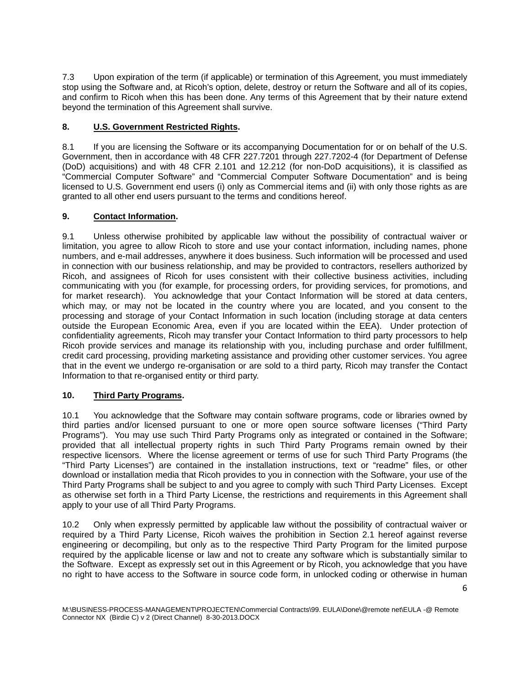7.3 Upon expiration of the term (if applicable) or termination of this Agreement, you must immediately stop using the Software and, at Ricoh's option, delete, destroy or return the Software and all of its copies, and confirm to Ricoh when this has been done. Any terms of this Agreement that by their nature extend beyond the termination of this Agreement shall survive.

# **8. U.S. Government Restricted Rights.**

8.1 If you are licensing the Software or its accompanying Documentation for or on behalf of the U.S. Government, then in accordance with 48 CFR 227.7201 through 227.7202-4 (for Department of Defense (DoD) acquisitions) and with 48 CFR 2.101 and 12.212 (for non-DoD acquisitions), it is classified as "Commercial Computer Software" and "Commercial Computer Software Documentation" and is being licensed to U.S. Government end users (i) only as Commercial items and (ii) with only those rights as are granted to all other end users pursuant to the terms and conditions hereof.

# **9. Contact Information.**

9.1 Unless otherwise prohibited by applicable law without the possibility of contractual waiver or limitation, you agree to allow Ricoh to store and use your contact information, including names, phone numbers, and e-mail addresses, anywhere it does business. Such information will be processed and used in connection with our business relationship, and may be provided to contractors, resellers authorized by Ricoh, and assignees of Ricoh for uses consistent with their collective business activities, including communicating with you (for example, for processing orders, for providing services, for promotions, and for market research). You acknowledge that your Contact Information will be stored at data centers, which may, or may not be located in the country where you are located, and you consent to the processing and storage of your Contact Information in such location (including storage at data centers outside the European Economic Area, even if you are located within the EEA). Under protection of confidentiality agreements, Ricoh may transfer your Contact Information to third party processors to help Ricoh provide services and manage its relationship with you, including purchase and order fulfillment, credit card processing, providing marketing assistance and providing other customer services. You agree that in the event we undergo re-organisation or are sold to a third party, Ricoh may transfer the Contact Information to that re-organised entity or third party.

### **10. Third Party Programs.**

10.1 You acknowledge that the Software may contain software programs, code or libraries owned by third parties and/or licensed pursuant to one or more open source software licenses ("Third Party Programs"). You may use such Third Party Programs only as integrated or contained in the Software; provided that all intellectual property rights in such Third Party Programs remain owned by their respective licensors. Where the license agreement or terms of use for such Third Party Programs (the "Third Party Licenses") are contained in the installation instructions, text or "readme" files, or other download or installation media that Ricoh provides to you in connection with the Software, your use of the Third Party Programs shall be subject to and you agree to comply with such Third Party Licenses. Except as otherwise set forth in a Third Party License, the restrictions and requirements in this Agreement shall apply to your use of all Third Party Programs.

10.2 Only when expressly permitted by applicable law without the possibility of contractual waiver or required by a Third Party License, Ricoh waives the prohibition in Section 2.1 hereof against reverse engineering or decompiling, but only as to the respective Third Party Program for the limited purpose required by the applicable license or law and not to create any software which is substantially similar to the Software. Except as expressly set out in this Agreement or by Ricoh, you acknowledge that you have no right to have access to the Software in source code form, in unlocked coding or otherwise in human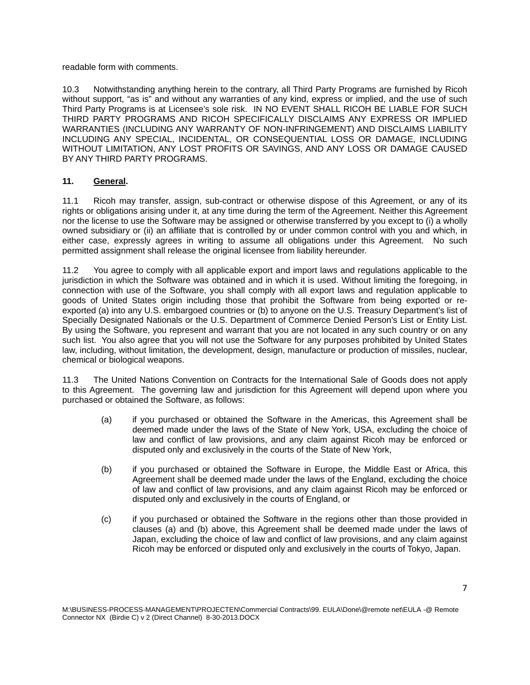readable form with comments.

10.3 Notwithstanding anything herein to the contrary, all Third Party Programs are furnished by Ricoh without support, "as is" and without any warranties of any kind, express or implied, and the use of such Third Party Programs is at Licensee's sole risk. IN NO EVENT SHALL RICOH BE LIABLE FOR SUCH THIRD PARTY PROGRAMS AND RICOH SPECIFICALLY DISCLAIMS ANY EXPRESS OR IMPLIED WARRANTIES (INCLUDING ANY WARRANTY OF NON-INFRINGEMENT) AND DISCLAIMS LIABILITY INCLUDING ANY SPECIAL, INCIDENTAL, OR CONSEQUENTIAL LOSS OR DAMAGE, INCLUDING WITHOUT LIMITATION, ANY LOST PROFITS OR SAVINGS, AND ANY LOSS OR DAMAGE CAUSED BY ANY THIRD PARTY PROGRAMS.

# **11. General.**

11.1 Ricoh may transfer, assign, sub-contract or otherwise dispose of this Agreement, or any of its rights or obligations arising under it, at any time during the term of the Agreement. Neither this Agreement nor the license to use the Software may be assigned or otherwise transferred by you except to (i) a wholly owned subsidiary or (ii) an affiliate that is controlled by or under common control with you and which, in either case, expressly agrees in writing to assume all obligations under this Agreement. No such permitted assignment shall release the original licensee from liability hereunder.

11.2 You agree to comply with all applicable export and import laws and regulations applicable to the jurisdiction in which the Software was obtained and in which it is used. Without limiting the foregoing, in connection with use of the Software, you shall comply with all export laws and regulation applicable to goods of United States origin including those that prohibit the Software from being exported or reexported (a) into any U.S. embargoed countries or (b) to anyone on the U.S. Treasury Department's list of Specially Designated Nationals or the U.S. Department of Commerce Denied Person's List or Entity List. By using the Software, you represent and warrant that you are not located in any such country or on any such list. You also agree that you will not use the Software for any purposes prohibited by United States law, including, without limitation, the development, design, manufacture or production of missiles, nuclear, chemical or biological weapons.

11.3 The United Nations Convention on Contracts for the International Sale of Goods does not apply to this Agreement. The governing law and jurisdiction for this Agreement will depend upon where you purchased or obtained the Software, as follows:

- (a) if you purchased or obtained the Software in the Americas, this Agreement shall be deemed made under the laws of the State of New York, USA, excluding the choice of law and conflict of law provisions, and any claim against Ricoh may be enforced or disputed only and exclusively in the courts of the State of New York,
- (b) if you purchased or obtained the Software in Europe, the Middle East or Africa, this Agreement shall be deemed made under the laws of the England, excluding the choice of law and conflict of law provisions, and any claim against Ricoh may be enforced or disputed only and exclusively in the courts of England, or
- (c) if you purchased or obtained the Software in the regions other than those provided in clauses (a) and (b) above, this Agreement shall be deemed made under the laws of Japan, excluding the choice of law and conflict of law provisions, and any claim against Ricoh may be enforced or disputed only and exclusively in the courts of Tokyo, Japan.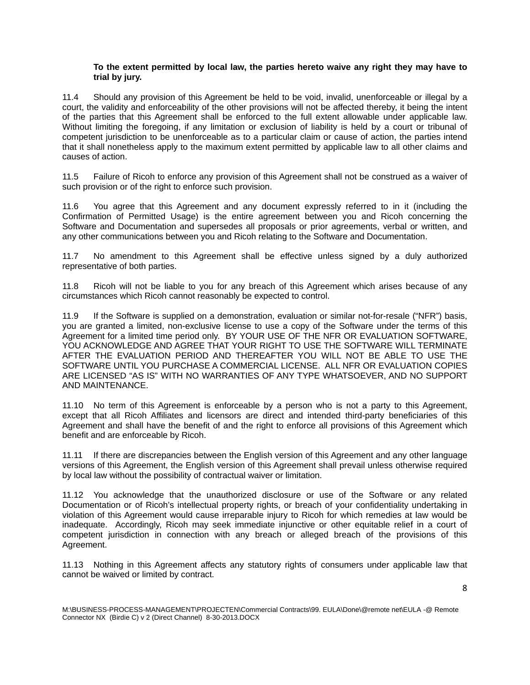#### **To the extent permitted by local law, the parties hereto waive any right they may have to trial by jury.**

11.4 Should any provision of this Agreement be held to be void, invalid, unenforceable or illegal by a court, the validity and enforceability of the other provisions will not be affected thereby, it being the intent of the parties that this Agreement shall be enforced to the full extent allowable under applicable law. Without limiting the foregoing, if any limitation or exclusion of liability is held by a court or tribunal of competent jurisdiction to be unenforceable as to a particular claim or cause of action, the parties intend that it shall nonetheless apply to the maximum extent permitted by applicable law to all other claims and causes of action.

11.5 Failure of Ricoh to enforce any provision of this Agreement shall not be construed as a waiver of such provision or of the right to enforce such provision.

11.6 You agree that this Agreement and any document expressly referred to in it (including the Confirmation of Permitted Usage) is the entire agreement between you and Ricoh concerning the Software and Documentation and supersedes all proposals or prior agreements, verbal or written, and any other communications between you and Ricoh relating to the Software and Documentation.

11.7 No amendment to this Agreement shall be effective unless signed by a duly authorized representative of both parties.

11.8 Ricoh will not be liable to you for any breach of this Agreement which arises because of any circumstances which Ricoh cannot reasonably be expected to control.

11.9 If the Software is supplied on a demonstration, evaluation or similar not-for-resale ("NFR") basis, you are granted a limited, non-exclusive license to use a copy of the Software under the terms of this Agreement for a limited time period only. BY YOUR USE OF THE NFR OR EVALUATION SOFTWARE, YOU ACKNOWLEDGE AND AGREE THAT YOUR RIGHT TO USE THE SOFTWARE WILL TERMINATE AFTER THE EVALUATION PERIOD AND THEREAFTER YOU WILL NOT BE ABLE TO USE THE SOFTWARE UNTIL YOU PURCHASE A COMMERCIAL LICENSE. ALL NFR OR EVALUATION COPIES ARE LICENSED "AS IS" WITH NO WARRANTIES OF ANY TYPE WHATSOEVER, AND NO SUPPORT AND MAINTENANCE.

11.10 No term of this Agreement is enforceable by a person who is not a party to this Agreement, except that all Ricoh Affiliates and licensors are direct and intended third-party beneficiaries of this Agreement and shall have the benefit of and the right to enforce all provisions of this Agreement which benefit and are enforceable by Ricoh.

11.11 If there are discrepancies between the English version of this Agreement and any other language versions of this Agreement, the English version of this Agreement shall prevail unless otherwise required by local law without the possibility of contractual waiver or limitation.

11.12 You acknowledge that the unauthorized disclosure or use of the Software or any related Documentation or of Ricoh's intellectual property rights, or breach of your confidentiality undertaking in violation of this Agreement would cause irreparable injury to Ricoh for which remedies at law would be inadequate. Accordingly, Ricoh may seek immediate injunctive or other equitable relief in a court of competent jurisdiction in connection with any breach or alleged breach of the provisions of this Agreement.

11.13 Nothing in this Agreement affects any statutory rights of consumers under applicable law that cannot be waived or limited by contract.

M:\BUSINESS-PROCESS-MANAGEMENT\PROJECTEN\Commercial Contracts\99. EULA\Done\@remote net\EULA -@ Remote Connector NX (Birdie C) v 2 (Direct Channel) 8-30-2013.DOCX